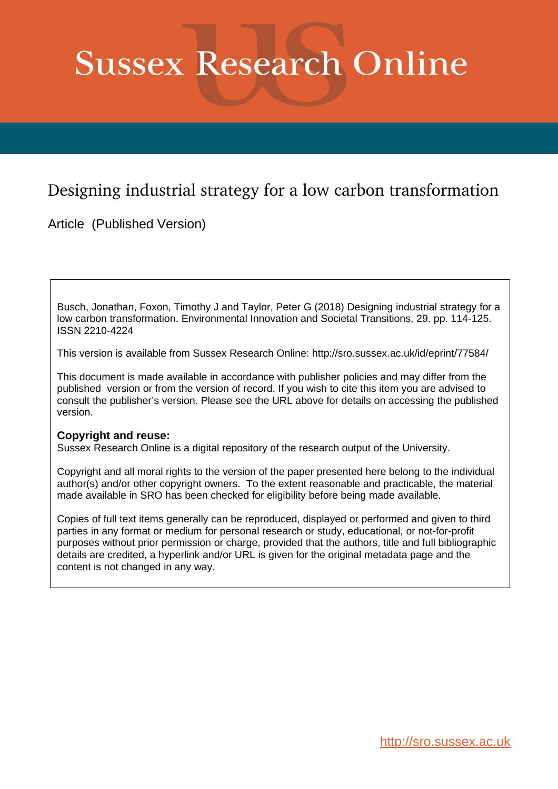# **Sussex Research Online**

## Designing industrial strategy for a low carbon transformation

Article (Published Version)

Busch, Jonathan, Foxon, Timothy J and Taylor, Peter G (2018) Designing industrial strategy for a low carbon transformation. Environmental Innovation and Societal Transitions, 29. pp. 114-125. ISSN 2210-4224

This version is available from Sussex Research Online: http://sro.sussex.ac.uk/id/eprint/77584/

This document is made available in accordance with publisher policies and may differ from the published version or from the version of record. If you wish to cite this item you are advised to consult the publisher's version. Please see the URL above for details on accessing the published version.

### **Copyright and reuse:**

Sussex Research Online is a digital repository of the research output of the University.

Copyright and all moral rights to the version of the paper presented here belong to the individual author(s) and/or other copyright owners. To the extent reasonable and practicable, the material made available in SRO has been checked for eligibility before being made available.

Copies of full text items generally can be reproduced, displayed or performed and given to third parties in any format or medium for personal research or study, educational, or not-for-profit purposes without prior permission or charge, provided that the authors, title and full bibliographic details are credited, a hyperlink and/or URL is given for the original metadata page and the content is not changed in any way.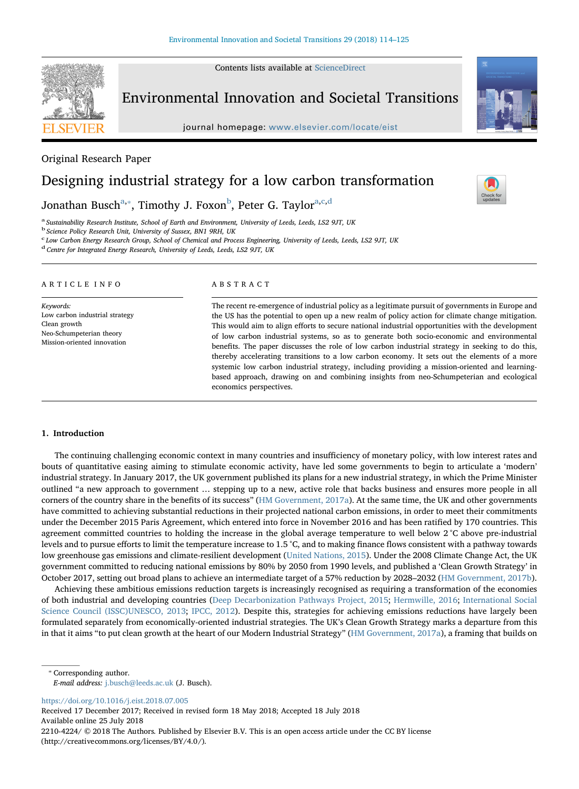Contents lists available at [ScienceDirect](http://www.sciencedirect.com/science/journal/22104224)

Environmental Innovation and Societal Transitions

journal homepage: [www.elsevier.com/locate/eist](https://www.elsevier.com/locate/eist)

#### Original Research Paper

## Designing industrial strategy for a low carbon transformation

## Jon[a](#page-1-0)than Busch<sup>a,</sup>\*, Timothy J. Foxon<sup>[b](#page-1-2)</sup>, Peter G. Taylor<sup>a[,c,](#page-1-3)[d](#page-1-4)</sup>

<span id="page-1-0"></span>a Sustainability Research Institute, School of Earth and Environment, University of Leeds, Leeds, LS2 9JT, UK

<span id="page-1-2"></span><sup>b</sup> Science Policy Research Unit, University of Sussex, BN1 9RH, UK

<span id="page-1-3"></span>CLOW Carbon Energy Research Group, School of Chemical and Process Engineering, University of Leeds, Leeds, LS2 9JT, UK

<span id="page-1-4"></span><sup>d</sup> Centre for Integrated Energy Research, University of Leeds, Leeds, LS2 9JT, UK

#### ARTICLE INFO

Keywords: Low carbon industrial strategy Clean growth Neo-Schumpeterian theory Mission-oriented innovation

#### ABSTRACT

The recent re-emergence of industrial policy as a legitimate pursuit of governments in Europe and the US has the potential to open up a new realm of policy action for climate change mitigation. This would aim to align efforts to secure national industrial opportunities with the development of low carbon industrial systems, so as to generate both socio-economic and environmental benefits. The paper discusses the role of low carbon industrial strategy in seeking to do this, thereby accelerating transitions to a low carbon economy. It sets out the elements of a more systemic low carbon industrial strategy, including providing a mission-oriented and learningbased approach, drawing on and combining insights from neo-Schumpeterian and ecological economics perspectives.

#### 1. Introduction

The continuing challenging economic context in many countries and insufficiency of monetary policy, with low interest rates and bouts of quantitative easing aiming to stimulate economic activity, have led some governments to begin to articulate a 'modern' industrial strategy. In January 2017, the UK government published its plans for a new industrial strategy, in which the Prime Minister outlined "a new approach to government … stepping up to a new, active role that backs business and ensures more people in all corners of the country share in the benefits of its success" [\(HM Government, 2017a](#page-11-0)). At the same time, the UK and other governments have committed to achieving substantial reductions in their projected national carbon emissions, in order to meet their commitments under the December 2015 Paris Agreement, which entered into force in November 2016 and has been ratified by 170 countries. This agreement committed countries to holding the increase in the global average temperature to well below 2 °C above pre-industrial levels and to pursue efforts to limit the temperature increase to 1.5 °C, and to making finance flows consistent with a pathway towards low greenhouse gas emissions and climate-resilient development ([United Nations, 2015](#page-12-0)). Under the 2008 Climate Change Act, the UK government committed to reducing national emissions by 80% by 2050 from 1990 levels, and published a 'Clean Growth Strategy' in October 2017, setting out broad plans to achieve an intermediate target of a 57% reduction by 2028–2032 ([HM Government, 2017b\)](#page-11-1).

Achieving these ambitious emissions reduction targets is increasingly recognised as requiring a transformation of the economies of both industrial and developing countries ([Deep Decarbonization Pathways Project, 2015](#page-11-2); [Hermwille, 2016](#page-11-3); [International Social](#page-11-4) [Science Council \(ISSC\)UNESCO, 2013;](#page-11-4) [IPCC, 2012\)](#page-11-5). Despite this, strategies for achieving emissions reductions have largely been formulated separately from economically-oriented industrial strategies. The UK's Clean Growth Strategy marks a departure from this in that it aims "to put clean growth at the heart of our Modern Industrial Strategy" [\(HM Government, 2017a\)](#page-11-0), a framing that builds on

<span id="page-1-1"></span>⁎ Corresponding author. E-mail address: [j.busch@leeds.ac.uk](mailto:j.busch@leeds.ac.uk) (J. Busch).

Received 17 December 2017; Received in revised form 18 May 2018; Accepted 18 July 2018 Available online 25 July 2018









<https://doi.org/10.1016/j.eist.2018.07.005>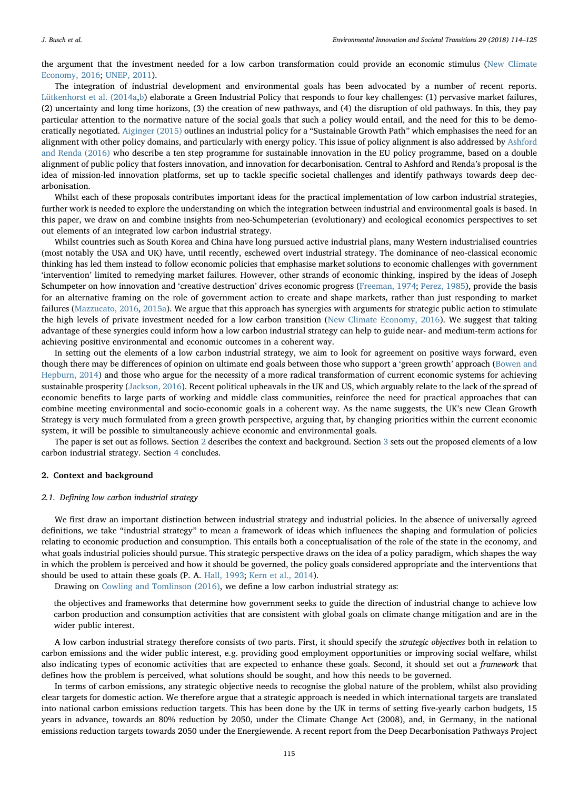the argument that the investment needed for a low carbon transformation could provide an economic stimulus [\(New Climate](#page-12-1) [Economy, 2016](#page-12-1); [UNEP, 2011\)](#page-12-2).

The integration of industrial development and environmental goals has been advocated by a number of recent reports. [Lütkenhorst et al. \(2014a,](#page-12-3)[b](#page-12-4)) elaborate a Green Industrial Policy that responds to four key challenges: (1) pervasive market failures, (2) uncertainty and long time horizons, (3) the creation of new pathways, and (4) the disruption of old pathways. In this, they pay particular attention to the normative nature of the social goals that such a policy would entail, and the need for this to be democratically negotiated. [Aiginger \(2015\)](#page-11-6) outlines an industrial policy for a "Sustainable Growth Path" which emphasises the need for an alignment with other policy domains, and particularly with energy policy. This issue of policy alignment is also addressed by [Ashford](#page-11-7) [and Renda \(2016\)](#page-11-7) who describe a ten step programme for sustainable innovation in the EU policy programme, based on a double alignment of public policy that fosters innovation, and innovation for decarbonisation. Central to Ashford and Renda's proposal is the idea of mission-led innovation platforms, set up to tackle specific societal challenges and identify pathways towards deep decarbonisation.

Whilst each of these proposals contributes important ideas for the practical implementation of low carbon industrial strategies, further work is needed to explore the understanding on which the integration between industrial and environmental goals is based. In this paper, we draw on and combine insights from neo-Schumpeterian (evolutionary) and ecological economics perspectives to set out elements of an integrated low carbon industrial strategy.

Whilst countries such as South Korea and China have long pursued active industrial plans, many Western industrialised countries (most notably the USA and UK) have, until recently, eschewed overt industrial strategy. The dominance of neo-classical economic thinking has led them instead to follow economic policies that emphasise market solutions to economic challenges with government 'intervention' limited to remedying market failures. However, other strands of economic thinking, inspired by the ideas of Joseph Schumpeter on how innovation and 'creative destruction' drives economic progress [\(Freeman, 1974](#page-11-8); [Perez, 1985\)](#page-12-5), provide the basis for an alternative framing on the role of government action to create and shape markets, rather than just responding to market failures [\(Mazzucato, 2016](#page-12-6), [2015a\)](#page-12-7). We argue that this approach has synergies with arguments for strategic public action to stimulate the high levels of private investment needed for a low carbon transition [\(New Climate Economy, 2016\)](#page-12-1). We suggest that taking advantage of these synergies could inform how a low carbon industrial strategy can help to guide near- and medium-term actions for achieving positive environmental and economic outcomes in a coherent way.

In setting out the elements of a low carbon industrial strategy, we aim to look for agreement on positive ways forward, even though there may be differences of opinion on ultimate end goals between those who support a 'green growth' approach [\(Bowen and](#page-11-9) [Hepburn, 2014\)](#page-11-9) and those who argue for the necessity of a more radical transformation of current economic systems for achieving sustainable prosperity ([Jackson, 2016\)](#page-11-10). Recent political upheavals in the UK and US, which arguably relate to the lack of the spread of economic benefits to large parts of working and middle class communities, reinforce the need for practical approaches that can combine meeting environmental and socio-economic goals in a coherent way. As the name suggests, the UK's new Clean Growth Strategy is very much formulated from a green growth perspective, arguing that, by changing priorities within the current economic system, it will be possible to simultaneously achieve economic and environmental goals.

The paper is set out as follows. Section [2](#page-2-0) describes the context and background. Section [3](#page-4-0) sets out the proposed elements of a low carbon industrial strategy. Section [4](#page-10-0) concludes.

#### <span id="page-2-0"></span>2. Context and background

#### 2.1. Defining low carbon industrial strategy

We first draw an important distinction between industrial strategy and industrial policies. In the absence of universally agreed definitions, we take "industrial strategy" to mean a framework of ideas which influences the shaping and formulation of policies relating to economic production and consumption. This entails both a conceptualisation of the role of the state in the economy, and what goals industrial policies should pursue. This strategic perspective draws on the idea of a policy paradigm, which shapes the way in which the problem is perceived and how it should be governed, the policy goals considered appropriate and the interventions that should be used to attain these goals (P. A. [Hall, 1993;](#page-11-11) [Kern et al., 2014\)](#page-11-12).

Drawing on [Cowling and Tomlinson \(2016\),](#page-11-13) we define a low carbon industrial strategy as:

the objectives and frameworks that determine how government seeks to guide the direction of industrial change to achieve low carbon production and consumption activities that are consistent with global goals on climate change mitigation and are in the wider public interest.

A low carbon industrial strategy therefore consists of two parts. First, it should specify the strategic objectives both in relation to carbon emissions and the wider public interest, e.g. providing good employment opportunities or improving social welfare, whilst also indicating types of economic activities that are expected to enhance these goals. Second, it should set out a framework that defines how the problem is perceived, what solutions should be sought, and how this needs to be governed.

In terms of carbon emissions, any strategic objective needs to recognise the global nature of the problem, whilst also providing clear targets for domestic action. We therefore argue that a strategic approach is needed in which international targets are translated into national carbon emissions reduction targets. This has been done by the UK in terms of setting five-yearly carbon budgets, 15 years in advance, towards an 80% reduction by 2050, under the Climate Change Act (2008), and, in Germany, in the national emissions reduction targets towards 2050 under the Energiewende. A recent report from the Deep Decarbonisation Pathways Project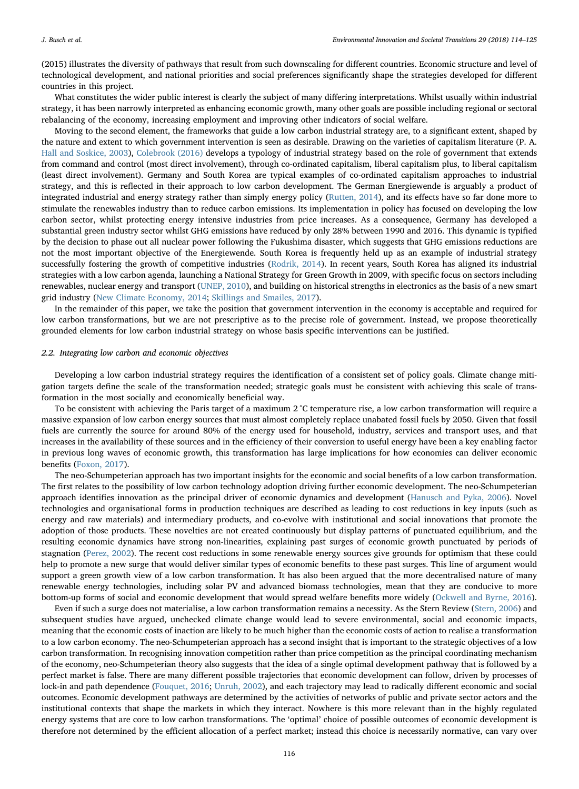(2015) illustrates the diversity of pathways that result from such downscaling for different countries. Economic structure and level of technological development, and national priorities and social preferences significantly shape the strategies developed for different countries in this project.

What constitutes the wider public interest is clearly the subject of many differing interpretations. Whilst usually within industrial strategy, it has been narrowly interpreted as enhancing economic growth, many other goals are possible including regional or sectoral rebalancing of the economy, increasing employment and improving other indicators of social welfare.

Moving to the second element, the frameworks that guide a low carbon industrial strategy are, to a significant extent, shaped by the nature and extent to which government intervention is seen as desirable. Drawing on the varieties of capitalism literature (P. A. [Hall and Soskice, 2003\)](#page-11-14), [Colebrook \(2016\)](#page-11-15) develops a typology of industrial strategy based on the role of government that extends from command and control (most direct involvement), through co-ordinated capitalism, liberal capitalism plus, to liberal capitalism (least direct involvement). Germany and South Korea are typical examples of co-ordinated capitalism approaches to industrial strategy, and this is reflected in their approach to low carbon development. The German Energiewende is arguably a product of integrated industrial and energy strategy rather than simply energy policy [\(Rutten, 2014\)](#page-12-8), and its effects have so far done more to stimulate the renewables industry than to reduce carbon emissions. Its implementation in policy has focused on developing the low carbon sector, whilst protecting energy intensive industries from price increases. As a consequence, Germany has developed a substantial green industry sector whilst GHG emissions have reduced by only 28% between 1990 and 2016. This dynamic is typified by the decision to phase out all nuclear power following the Fukushima disaster, which suggests that GHG emissions reductions are not the most important objective of the Energiewende. South Korea is frequently held up as an example of industrial strategy successfully fostering the growth of competitive industries [\(Rodrik, 2014](#page-12-9)). In recent years, South Korea has aligned its industrial strategies with a low carbon agenda, launching a National Strategy for Green Growth in 2009, with specific focus on sectors including renewables, nuclear energy and transport ([UNEP, 2010](#page-12-10)), and building on historical strengths in electronics as the basis of a new smart grid industry ([New Climate Economy, 2014;](#page-12-11) [Skillings and Smailes, 2017](#page-12-12)).

In the remainder of this paper, we take the position that government intervention in the economy is acceptable and required for low carbon transformations, but we are not prescriptive as to the precise role of government. Instead, we propose theoretically grounded elements for low carbon industrial strategy on whose basis specific interventions can be justified.

#### 2.2. Integrating low carbon and economic objectives

Developing a low carbon industrial strategy requires the identification of a consistent set of policy goals. Climate change mitigation targets define the scale of the transformation needed; strategic goals must be consistent with achieving this scale of transformation in the most socially and economically beneficial way.

To be consistent with achieving the Paris target of a maximum 2 °C temperature rise, a low carbon transformation will require a massive expansion of low carbon energy sources that must almost completely replace unabated fossil fuels by 2050. Given that fossil fuels are currently the source for around 80% of the energy used for household, industry, services and transport uses, and that increases in the availability of these sources and in the efficiency of their conversion to useful energy have been a key enabling factor in previous long waves of economic growth, this transformation has large implications for how economies can deliver economic benefits [\(Foxon, 2017\)](#page-11-16).

The neo-Schumpeterian approach has two important insights for the economic and social benefits of a low carbon transformation. The first relates to the possibility of low carbon technology adoption driving further economic development. The neo-Schumpeterian approach identifies innovation as the principal driver of economic dynamics and development [\(Hanusch and Pyka, 2006](#page-11-17)). Novel technologies and organisational forms in production techniques are described as leading to cost reductions in key inputs (such as energy and raw materials) and intermediary products, and co-evolve with institutional and social innovations that promote the adoption of those products. These novelties are not created continuously but display patterns of punctuated equilibrium, and the resulting economic dynamics have strong non-linearities, explaining past surges of economic growth punctuated by periods of stagnation [\(Perez, 2002](#page-12-13)). The recent cost reductions in some renewable energy sources give grounds for optimism that these could help to promote a new surge that would deliver similar types of economic benefits to these past surges. This line of argument would support a green growth view of a low carbon transformation. It has also been argued that the more decentralised nature of many renewable energy technologies, including solar PV and advanced biomass technologies, mean that they are conducive to more bottom-up forms of social and economic development that would spread welfare benefits more widely ([Ockwell and Byrne, 2016\)](#page-12-14).

Even if such a surge does not materialise, a low carbon transformation remains a necessity. As the Stern Review ([Stern, 2006](#page-12-15)) and subsequent studies have argued, unchecked climate change would lead to severe environmental, social and economic impacts, meaning that the economic costs of inaction are likely to be much higher than the economic costs of action to realise a transformation to a low carbon economy. The neo-Schumpeterian approach has a second insight that is important to the strategic objectives of a low carbon transformation. In recognising innovation competition rather than price competition as the principal coordinating mechanism of the economy, neo-Schumpeterian theory also suggests that the idea of a single optimal development pathway that is followed by a perfect market is false. There are many different possible trajectories that economic development can follow, driven by processes of lock-in and path dependence ([Fouquet, 2016](#page-11-18); [Unruh, 2002\)](#page-12-16), and each trajectory may lead to radically different economic and social outcomes. Economic development pathways are determined by the activities of networks of public and private sector actors and the institutional contexts that shape the markets in which they interact. Nowhere is this more relevant than in the highly regulated energy systems that are core to low carbon transformations. The 'optimal' choice of possible outcomes of economic development is therefore not determined by the efficient allocation of a perfect market; instead this choice is necessarily normative, can vary over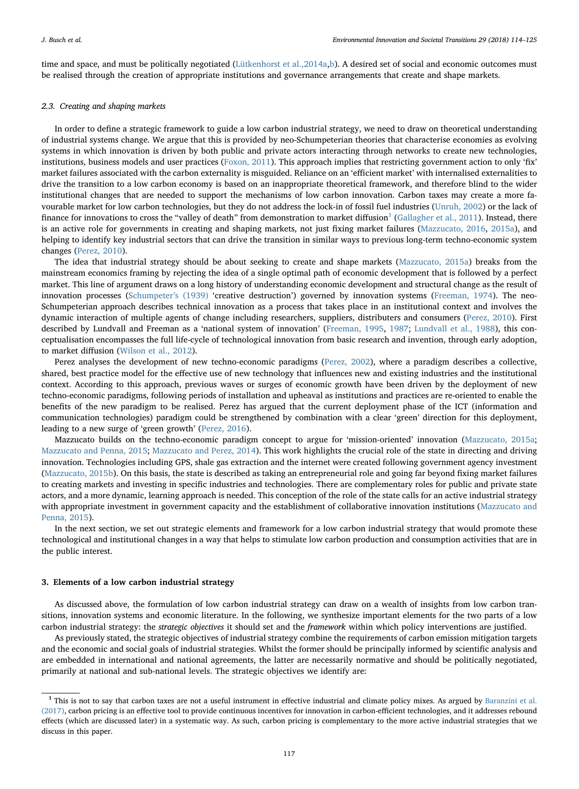time and space, and must be politically negotiated (Lütkenhorst et al., 2014a,[b\)](#page-12-4). A desired set of social and economic outcomes must be realised through the creation of appropriate institutions and governance arrangements that create and shape markets.

#### 2.3. Creating and shaping markets

In order to define a strategic framework to guide a low carbon industrial strategy, we need to draw on theoretical understanding of industrial systems change. We argue that this is provided by neo-Schumpeterian theories that characterise economies as evolving systems in which innovation is driven by both public and private actors interacting through networks to create new technologies, institutions, business models and user practices ([Foxon, 2011\)](#page-11-19). This approach implies that restricting government action to only 'fix' market failures associated with the carbon externality is misguided. Reliance on an 'efficient market' with internalised externalities to drive the transition to a low carbon economy is based on an inappropriate theoretical framework, and therefore blind to the wider institutional changes that are needed to support the mechanisms of low carbon innovation. Carbon taxes may create a more favourable market for low carbon technologies, but they do not address the lock-in of fossil fuel industries [\(Unruh, 2002\)](#page-12-16) or the lack of finance for innovations to cross the "valley of death" from demonstration to market diffusion $1$  ([Gallagher et al., 2011\)](#page-11-20). Instead, there is an active role for governments in creating and shaping markets, not just fixing market failures ([Mazzucato, 2016,](#page-12-6) [2015a\)](#page-12-7), and helping to identify key industrial sectors that can drive the transition in similar ways to previous long-term techno-economic system changes ([Perez, 2010\)](#page-12-17).

The idea that industrial strategy should be about seeking to create and shape markets [\(Mazzucato, 2015a\)](#page-12-7) breaks from the mainstream economics framing by rejecting the idea of a single optimal path of economic development that is followed by a perfect market. This line of argument draws on a long history of understanding economic development and structural change as the result of innovation processes [\(Schumpeter](#page-12-18)'s (1939) 'creative destruction') governed by innovation systems ([Freeman, 1974](#page-11-8)). The neo-Schumpeterian approach describes technical innovation as a process that takes place in an institutional context and involves the dynamic interaction of multiple agents of change including researchers, suppliers, distributers and consumers ([Perez, 2010](#page-12-17)). First described by Lundvall and Freeman as a 'national system of innovation' [\(Freeman, 1995,](#page-11-21) [1987](#page-11-22); [Lundvall et al., 1988\)](#page-12-19), this conceptualisation encompasses the full life-cycle of technological innovation from basic research and invention, through early adoption, to market diffusion ([Wilson et al., 2012\)](#page-12-20).

Perez analyses the development of new techno-economic paradigms [\(Perez, 2002](#page-12-13)), where a paradigm describes a collective, shared, best practice model for the effective use of new technology that influences new and existing industries and the institutional context. According to this approach, previous waves or surges of economic growth have been driven by the deployment of new techno-economic paradigms, following periods of installation and upheaval as institutions and practices are re-oriented to enable the benefits of the new paradigm to be realised. Perez has argued that the current deployment phase of the ICT (information and communication technologies) paradigm could be strengthened by combination with a clear 'green' direction for this deployment, leading to a new surge of 'green growth' ([Perez, 2016\)](#page-12-21).

Mazzucato builds on the techno-economic paradigm concept to argue for 'mission-oriented' innovation [\(Mazzucato, 2015a;](#page-12-7) [Mazzucato and Penna, 2015;](#page-12-22) [Mazzucato and Perez, 2014\)](#page-12-23). This work highlights the crucial role of the state in directing and driving innovation. Technologies including GPS, shale gas extraction and the internet were created following government agency investment ([Mazzucato, 2015b](#page-12-24)). On this basis, the state is described as taking an entrepreneurial role and going far beyond fixing market failures to creating markets and investing in specific industries and technologies. There are complementary roles for public and private state actors, and a more dynamic, learning approach is needed. This conception of the role of the state calls for an active industrial strategy with appropriate investment in government capacity and the establishment of collaborative innovation institutions ([Mazzucato and](#page-12-22) [Penna, 2015](#page-12-22)).

In the next section, we set out strategic elements and framework for a low carbon industrial strategy that would promote these technological and institutional changes in a way that helps to stimulate low carbon production and consumption activities that are in the public interest.

#### <span id="page-4-0"></span>3. Elements of a low carbon industrial strategy

As discussed above, the formulation of low carbon industrial strategy can draw on a wealth of insights from low carbon transitions, innovation systems and economic literature. In the following, we synthesize important elements for the two parts of a low carbon industrial strategy: the strategic objectives it should set and the framework within which policy interventions are justified.

As previously stated, the strategic objectives of industrial strategy combine the requirements of carbon emission mitigation targets and the economic and social goals of industrial strategies. Whilst the former should be principally informed by scientific analysis and are embedded in international and national agreements, the latter are necessarily normative and should be politically negotiated, primarily at national and sub-national levels. The strategic objectives we identify are:

<span id="page-4-1"></span><sup>&</sup>lt;sup>1</sup> This is not to say that carbon taxes are not a useful instrument in effective industrial and climate policy mixes. As argued by [Baranzini et al.](#page-11-23) [\(2017\),](#page-11-23) carbon pricing is an effective tool to provide continuous incentives for innovation in carbon-efficient technologies, and it addresses rebound effects (which are discussed later) in a systematic way. As such, carbon pricing is complementary to the more active industrial strategies that we discuss in this paper.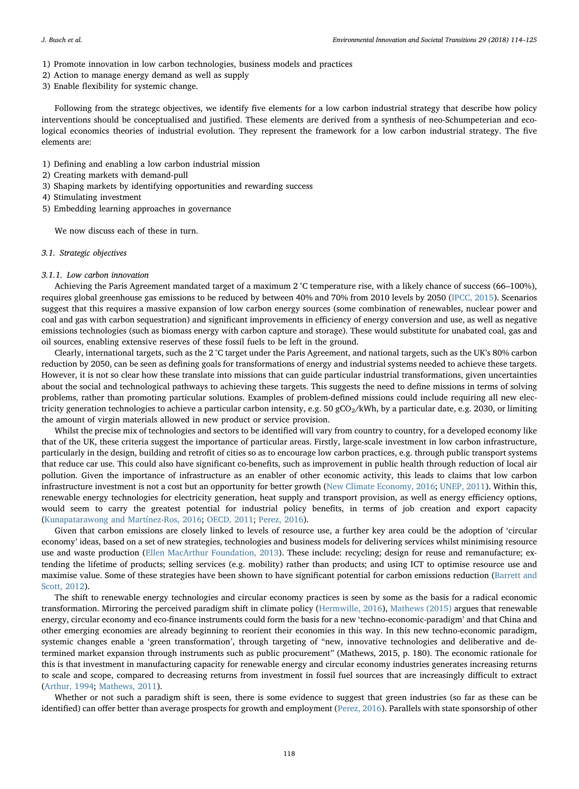- 1) Promote innovation in low carbon technologies, business models and practices
- 2) Action to manage energy demand as well as supply
- 3) Enable flexibility for systemic change.

Following from the strategc objectives, we identify five elements for a low carbon industrial strategy that describe how policy interventions should be conceptualised and justified. These elements are derived from a synthesis of neo-Schumpeterian and ecological economics theories of industrial evolution. They represent the framework for a low carbon industrial strategy. The five elements are:

- 1) Defining and enabling a low carbon industrial mission
- 2) Creating markets with demand-pull
- 3) Shaping markets by identifying opportunities and rewarding success
- 4) Stimulating investment
- 5) Embedding learning approaches in governance

We now discuss each of these in turn.

#### 3.1. Strategic objectives

#### 3.1.1. Low carbon innovation

Achieving the Paris Agreement mandated target of a maximum 2 °C temperature rise, with a likely chance of success (66–100%), requires global greenhouse gas emissions to be reduced by between 40% and 70% from 2010 levels by 2050 ([IPCC, 2015](#page-11-24)). Scenarios suggest that this requires a massive expansion of low carbon energy sources (some combination of renewables, nuclear power and coal and gas with carbon sequestration) and significant improvements in efficiency of energy conversion and use, as well as negative emissions technologies (such as biomass energy with carbon capture and storage). These would substitute for unabated coal, gas and oil sources, enabling extensive reserves of these fossil fuels to be left in the ground.

Clearly, international targets, such as the 2 °C target under the Paris Agreement, and national targets, such as the UK's 80% carbon reduction by 2050, can be seen as defining goals for transformations of energy and industrial systems needed to achieve these targets. However, it is not so clear how these translate into missions that can guide particular industrial transformations, given uncertainties about the social and technological pathways to achieving these targets. This suggests the need to define missions in terms of solving problems, rather than promoting particular solutions. Examples of problem-defined missions could include requiring all new electricity generation technologies to achieve a particular carbon intensity, e.g. 50  $gCO_2/kWh$ , by a particular date, e.g. 2030, or limiting the amount of virgin materials allowed in new product or service provision.

Whilst the precise mix of technologies and sectors to be identified will vary from country to country, for a developed economy like that of the UK, these criteria suggest the importance of particular areas. Firstly, large-scale investment in low carbon infrastructure, particularly in the design, building and retrofit of cities so as to encourage low carbon practices, e.g. through public transport systems that reduce car use. This could also have significant co-benefits, such as improvement in public health through reduction of local air pollution. Given the importance of infrastructure as an enabler of other economic activity, this leads to claims that low carbon infrastructure investment is not a cost but an opportunity for better growth [\(New Climate Economy, 2016](#page-12-1); [UNEP, 2011\)](#page-12-2). Within this, renewable energy technologies for electricity generation, heat supply and transport provision, as well as energy efficiency options, would seem to carry the greatest potential for industrial policy benefits, in terms of job creation and export capacity ([Kunapatarawong and Martínez-Ros, 2016;](#page-12-25) [OECD, 2011](#page-12-26); [Perez, 2016](#page-12-21)).

Given that carbon emissions are closely linked to levels of resource use, a further key area could be the adoption of 'circular economy' ideas, based on a set of new strategies, technologies and business models for delivering services whilst minimising resource use and waste production [\(Ellen MacArthur Foundation, 2013](#page-11-25)). These include: recycling; design for reuse and remanufacture; extending the lifetime of products; selling services (e.g. mobility) rather than products; and using ICT to optimise resource use and maximise value. Some of these strategies have been shown to have significant potential for carbon emissions reduction [\(Barrett and](#page-11-26) [Scott, 2012](#page-11-26)).

The shift to renewable energy technologies and circular economy practices is seen by some as the basis for a radical economic transformation. Mirroring the perceived paradigm shift in climate policy [\(Hermwille, 2016\)](#page-11-3), [Mathews \(2015\)](#page-12-27) argues that renewable energy, circular economy and eco-finance instruments could form the basis for a new 'techno-economic-paradigm' and that China and other emerging economies are already beginning to reorient their economies in this way. In this new techno-economic paradigm, systemic changes enable a 'green transformation', through targeting of "new, innovative technologies and deliberative and determined market expansion through instruments such as public procurement" (Mathews, 2015, p. 180). The economic rationale for this is that investment in manufacturing capacity for renewable energy and circular economy industries generates increasing returns to scale and scope, compared to decreasing returns from investment in fossil fuel sources that are increasingly difficult to extract ([Arthur, 1994](#page-11-27); [Mathews, 2011\)](#page-12-28).

Whether or not such a paradigm shift is seen, there is some evidence to suggest that green industries (so far as these can be identified) can offer better than average prospects for growth and employment ([Perez, 2016\)](#page-12-21). Parallels with state sponsorship of other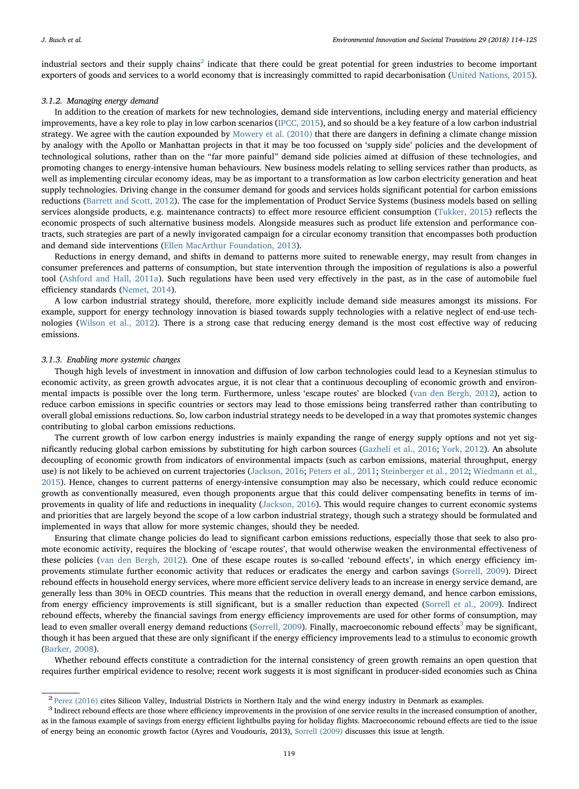industrial sectors and their supply chains<sup>[2](#page-6-0)</sup> indicate that there could be great potential for green industries to become important exporters of goods and services to a world economy that is increasingly committed to rapid decarbonisation ([United Nations, 2015](#page-12-0)).

#### 3.1.2. Managing energy demand

In addition to the creation of markets for new technologies, demand side interventions, including energy and material efficiency improvements, have a key role to play in low carbon scenarios ([IPCC, 2015\)](#page-11-24), and so should be a key feature of a low carbon industrial strategy. We agree with the caution expounded by [Mowery et al. \(2010\)](#page-12-29) that there are dangers in defining a climate change mission by analogy with the Apollo or Manhattan projects in that it may be too focussed on 'supply side' policies and the development of technological solutions, rather than on the "far more painful" demand side policies aimed at diffusion of these technologies, and promoting changes to energy-intensive human behaviours. New business models relating to selling services rather than products, as well as implementing circular economy ideas, may be as important to a transformation as low carbon electricity generation and heat supply technologies. Driving change in the consumer demand for goods and services holds significant potential for carbon emissions reductions [\(Barrett and Scott, 2012\)](#page-11-26). The case for the implementation of Product Service Systems (business models based on selling services alongside products, e.g. maintenance contracts) to effect more resource efficient consumption ([Tukker, 2015\)](#page-12-30) reflects the economic prospects of such alternative business models. Alongside measures such as product life extension and performance contracts, such strategies are part of a newly invigorated campaign for a circular economy transition that encompasses both production and demand side interventions [\(Ellen MacArthur Foundation, 2013\)](#page-11-25).

Reductions in energy demand, and shifts in demand to patterns more suited to renewable energy, may result from changes in consumer preferences and patterns of consumption, but state intervention through the imposition of regulations is also a powerful tool [\(Ashford and Hall, 2011a](#page-11-28)). Such regulations have been used very effectively in the past, as in the case of automobile fuel efficiency standards [\(Nemet, 2014\)](#page-12-31).

A low carbon industrial strategy should, therefore, more explicitly include demand side measures amongst its missions. For example, support for energy technology innovation is biased towards supply technologies with a relative neglect of end-use technologies ([Wilson et al., 2012](#page-12-20)). There is a strong case that reducing energy demand is the most cost effective way of reducing emissions.

#### 3.1.3. Enabling more systemic changes

Though high levels of investment in innovation and diffusion of low carbon technologies could lead to a Keynesian stimulus to economic activity, as green growth advocates argue, it is not clear that a continuous decoupling of economic growth and environmental impacts is possible over the long term. Furthermore, unless 'escape routes' are blocked ([van den Bergh, 2012\)](#page-12-32), action to reduce carbon emissions in specific countries or sectors may lead to those emissions being transferred rather than contributing to overall global emissions reductions. So, low carbon industrial strategy needs to be developed in a way that promotes systemic changes contributing to global carbon emissions reductions.

The current growth of low carbon energy industries is mainly expanding the range of energy supply options and not yet significantly reducing global carbon emissions by substituting for high carbon sources [\(Gazheli et al., 2016](#page-11-29); [York, 2012](#page-12-33)). An absolute decoupling of economic growth from indicators of environmental impacts (such as carbon emissions, material throughput, energy use) is not likely to be achieved on current trajectories ([Jackson, 2016](#page-11-10); [Peters et al., 2011;](#page-12-34) [Steinberger et al., 2012;](#page-12-35) [Wiedmann](#page-12-36) et al., [2015\)](#page-12-36). Hence, changes to current patterns of energy-intensive consumption may also be necessary, which could reduce economic growth as conventionally measured, even though proponents argue that this could deliver compensating benefits in terms of improvements in quality of life and reductions in inequality ([Jackson, 2016](#page-11-10)). This would require changes to current economic systems and priorities that are largely beyond the scope of a low carbon industrial strategy, though such a strategy should be formulated and implemented in ways that allow for more systemic changes, should they be needed.

Ensuring that climate change policies do lead to significant carbon emissions reductions, especially those that seek to also promote economic activity, requires the blocking of 'escape routes', that would otherwise weaken the environmental effectiveness of these policies [\(van den Bergh, 2012\)](#page-12-32). One of these escape routes is so-called 'rebound effects', in which energy efficiency improvements stimulate further economic activity that reduces or eradicates the energy and carbon savings [\(Sorrell, 2009](#page-12-37)). Direct rebound effects in household energy services, where more efficient service delivery leads to an increase in energy service demand, are generally less than 30% in OECD countries. This means that the reduction in overall energy demand, and hence carbon emissions, from energy efficiency improvements is still significant, but is a smaller reduction than expected [\(Sorrell et al., 2009](#page-12-38)). Indirect rebound effects, whereby the financial savings from energy efficiency improvements are used for other forms of consumption, may lead to even smaller overall energy demand reductions [\(Sorrell, 2009\)](#page-12-37). Finally, macroeconomic rebound effects<sup>[3](#page-6-1)</sup> may be significant, though it has been argued that these are only significant if the energy efficiency improvements lead to a stimulus to economic growth ([Barker, 2008](#page-11-30)).

Whether rebound effects constitute a contradiction for the internal consistency of green growth remains an open question that requires further empirical evidence to resolve; recent work suggests it is most significant in producer-sided economies such as China

<span id="page-6-1"></span>

<span id="page-6-0"></span> $\frac{2 \text{Perez}}{2(2016)}$  cites Silicon Valley, Industrial Districts in Northern Italy and the wind energy industry in Denmark as examples.<br><sup>3</sup> Indirect rebound effects are those where efficiency improvements in the provision as in the famous example of savings from energy efficient lightbulbs paying for holiday flights. Macroeconomic rebound effects are tied to the issue of energy being an economic growth factor (Ayres and Voudouris, 2013), [Sorrell \(2009\)](#page-12-37) discusses this issue at length.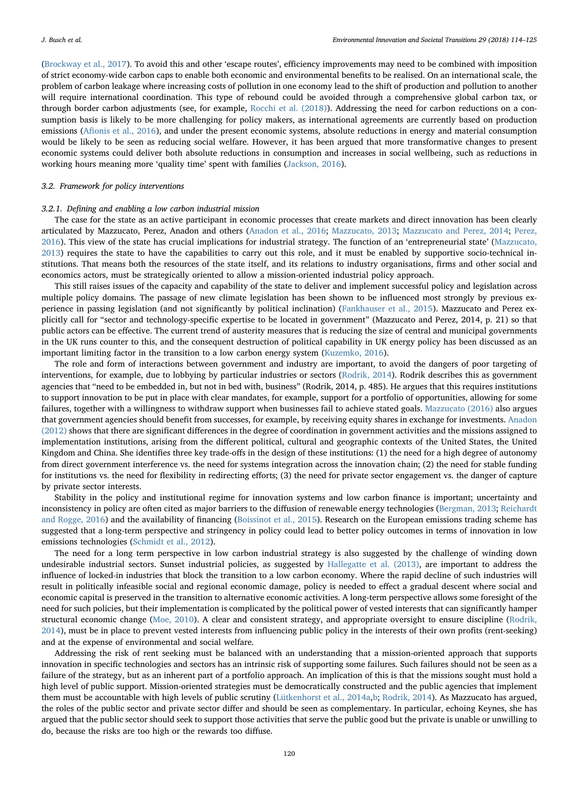([Brockway et al., 2017](#page-11-31)). To avoid this and other 'escape routes', efficiency improvements may need to be combined with imposition of strict economy-wide carbon caps to enable both economic and environmental benefits to be realised. On an international scale, the problem of carbon leakage where increasing costs of pollution in one economy lead to the shift of production and pollution to another will require international coordination. This type of rebound could be avoided through a comprehensive global carbon tax, or through border carbon adjustments (see, for example, [Rocchi et al. \(2018\)\)](#page-12-39). Addressing the need for carbon reductions on a consumption basis is likely to be more challenging for policy makers, as international agreements are currently based on production emissions (Afi[onis et al., 2016\)](#page-10-1), and under the present economic systems, absolute reductions in energy and material consumption would be likely to be seen as reducing social welfare. However, it has been argued that more transformative changes to present economic systems could deliver both absolute reductions in consumption and increases in social wellbeing, such as reductions in working hours meaning more 'quality time' spent with families [\(Jackson, 2016\)](#page-11-10).

#### 3.2. Framework for policy interventions

#### 3.2.1. Defining and enabling a low carbon industrial mission

The case for the state as an active participant in economic processes that create markets and direct innovation has been clearly articulated by Mazzucato, Perez, Anadon and others [\(Anadon et al., 2016;](#page-11-32) [Mazzucato, 2013](#page-12-40); [Mazzucato and Perez, 2014](#page-12-23); [Perez,](#page-12-21) [2016\)](#page-12-21). This view of the state has crucial implications for industrial strategy. The function of an 'entrepreneurial state' [\(Mazzucato,](#page-12-40) [2013\)](#page-12-40) requires the state to have the capabilities to carry out this role, and it must be enabled by supportive socio-technical institutions. That means both the resources of the state itself, and its relations to industry organisations, firms and other social and economics actors, must be strategically oriented to allow a mission-oriented industrial policy approach.

This still raises issues of the capacity and capability of the state to deliver and implement successful policy and legislation across multiple policy domains. The passage of new climate legislation has been shown to be influenced most strongly by previous experience in passing legislation (and not significantly by political inclination) ([Fankhauser et al., 2015](#page-11-33)). Mazzucato and Perez explicitly call for "sector and technology-specific expertise to be located in government" (Mazzucato and Perez, 2014, p. 21) so that public actors can be effective. The current trend of austerity measures that is reducing the size of central and municipal governments in the UK runs counter to this, and the consequent destruction of political capability in UK energy policy has been discussed as an important limiting factor in the transition to a low carbon energy system [\(Kuzemko, 2016\)](#page-12-41).

The role and form of interactions between government and industry are important, to avoid the dangers of poor targeting of interventions, for example, due to lobbying by particular industries or sectors ([Rodrik, 2014](#page-12-9)). Rodrik describes this as government agencies that "need to be embedded in, but not in bed with, business" (Rodrik, 2014, p. 485). He argues that this requires institutions to support innovation to be put in place with clear mandates, for example, support for a portfolio of opportunities, allowing for some failures, together with a willingness to withdraw support when businesses fail to achieve stated goals. [Mazzucato \(2016\)](#page-12-6) also argues that government agencies should benefit from successes, for example, by receiving equity shares in exchange for investments. [Anadon](#page-11-34) [\(2012\)](#page-11-34) shows that there are significant differences in the degree of coordination in government activities and the missions assigned to implementation institutions, arising from the different political, cultural and geographic contexts of the United States, the United Kingdom and China. She identifies three key trade-offs in the design of these institutions: (1) the need for a high degree of autonomy from direct government interference vs. the need for systems integration across the innovation chain; (2) the need for stable funding for institutions vs. the need for flexibility in redirecting efforts; (3) the need for private sector engagement vs. the danger of capture by private sector interests.

Stability in the policy and institutional regime for innovation systems and low carbon finance is important; uncertainty and inconsistency in policy are often cited as major barriers to the diffusion of renewable energy technologies [\(Bergman, 2013;](#page-11-35) [Reichardt](#page-12-42) [and Rogge, 2016\)](#page-12-42) and the availability of financing [\(Boissinot et al., 2015](#page-11-36)). Research on the European emissions trading scheme has suggested that a long-term perspective and stringency in policy could lead to better policy outcomes in terms of innovation in low emissions technologies [\(Schmidt et al., 2012\)](#page-12-43).

The need for a long term perspective in low carbon industrial strategy is also suggested by the challenge of winding down undesirable industrial sectors. Sunset industrial policies, as suggested by [Hallegatte et al. \(2013\)](#page-11-37), are important to address the influence of locked-in industries that block the transition to a low carbon economy. Where the rapid decline of such industries will result in politically infeasible social and regional economic damage, policy is needed to effect a gradual descent where social and economic capital is preserved in the transition to alternative economic activities. A long-term perspective allows some foresight of the need for such policies, but their implementation is complicated by the political power of vested interests that can significantly hamper structural economic change ([Moe, 2010](#page-12-44)). A clear and consistent strategy, and appropriate oversight to ensure discipline [\(Rodrik,](#page-12-9) [2014\)](#page-12-9), must be in place to prevent vested interests from influencing public policy in the interests of their own profits (rent-seeking) and at the expense of environmental and social welfare.

Addressing the risk of rent seeking must be balanced with an understanding that a mission-oriented approach that supports innovation in specific technologies and sectors has an intrinsic risk of supporting some failures. Such failures should not be seen as a failure of the strategy, but as an inherent part of a portfolio approach. An implication of this is that the missions sought must hold a high level of public support. Mission-oriented strategies must be democratically constructed and the public agencies that implement them must be accountable with high levels of public scrutiny ([Lütkenhorst et al., 2014a,](#page-12-3)[b](#page-12-4); [Rodrik, 2014](#page-12-9)). As Mazzucato has argued, the roles of the public sector and private sector differ and should be seen as complementary. In particular, echoing Keynes, she has argued that the public sector should seek to support those activities that serve the public good but the private is unable or unwilling to do, because the risks are too high or the rewards too diffuse.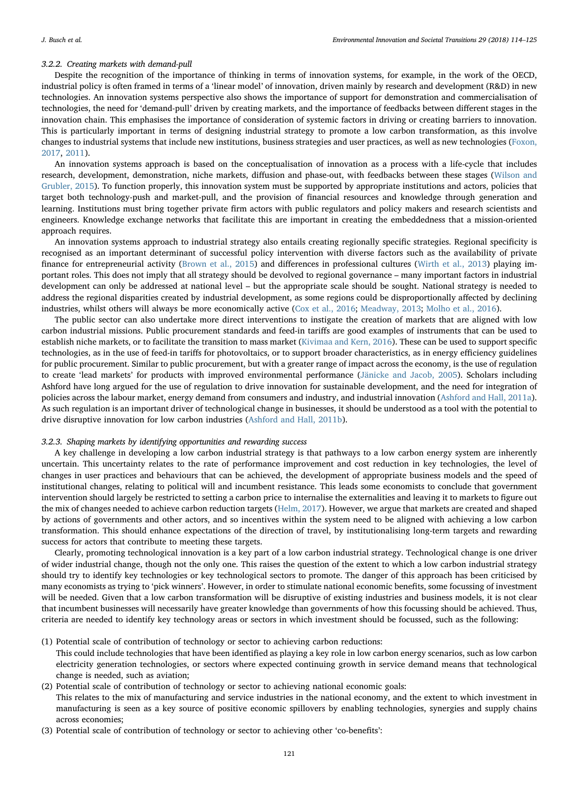#### 3.2.2. Creating markets with demand-pull

Despite the recognition of the importance of thinking in terms of innovation systems, for example, in the work of the OECD, industrial policy is often framed in terms of a 'linear model' of innovation, driven mainly by research and development (R&D) in new technologies. An innovation systems perspective also shows the importance of support for demonstration and commercialisation of technologies, the need for 'demand-pull' driven by creating markets, and the importance of feedbacks between different stages in the innovation chain. This emphasises the importance of consideration of systemic factors in driving or creating barriers to innovation. This is particularly important in terms of designing industrial strategy to promote a low carbon transformation, as this involve changes to industrial systems that include new institutions, business strategies and user practices, as well as new technologies [\(Foxon,](#page-11-16) [2017,](#page-11-16) [2011\)](#page-11-19).

An innovation systems approach is based on the conceptualisation of innovation as a process with a life-cycle that includes research, development, demonstration, niche markets, diffusion and phase-out, with feedbacks between these stages ([Wilson and](#page-12-45) [Grubler, 2015\)](#page-12-45). To function properly, this innovation system must be supported by appropriate institutions and actors, policies that target both technology-push and market-pull, and the provision of financial resources and knowledge through generation and learning. Institutions must bring together private firm actors with public regulators and policy makers and research scientists and engineers. Knowledge exchange networks that facilitate this are important in creating the embeddedness that a mission-oriented approach requires.

An innovation systems approach to industrial strategy also entails creating regionally specific strategies. Regional specificity is recognised as an important determinant of successful policy intervention with diverse factors such as the availability of private finance for entrepreneurial activity [\(Brown et al., 2015](#page-11-38)) and differences in professional cultures ([Wirth et al., 2013\)](#page-12-46) playing important roles. This does not imply that all strategy should be devolved to regional governance – many important factors in industrial development can only be addressed at national level – but the appropriate scale should be sought. National strategy is needed to address the regional disparities created by industrial development, as some regions could be disproportionally affected by declining industries, whilst others will always be more economically active ([Cox et al., 2016](#page-11-39); [Meadway, 2013](#page-12-47); [Molho et al., 2016\)](#page-12-48).

The public sector can also undertake more direct interventions to instigate the creation of markets that are aligned with low carbon industrial missions. Public procurement standards and feed-in tariffs are good examples of instruments that can be used to establish niche markets, or to facilitate the transition to mass market ([Kivimaa and Kern, 2016\)](#page-11-40). These can be used to support specific technologies, as in the use of feed-in tariffs for photovoltaics, or to support broader characteristics, as in energy efficiency guidelines for public procurement. Similar to public procurement, but with a greater range of impact across the economy, is the use of regulation to create 'lead markets' for products with improved environmental performance [\(Jänicke and Jacob, 2005](#page-11-41)). Scholars including Ashford have long argued for the use of regulation to drive innovation for sustainable development, and the need for integration of policies across the labour market, energy demand from consumers and industry, and industrial innovation [\(Ashford and Hall, 2011a](#page-11-28)). As such regulation is an important driver of technological change in businesses, it should be understood as a tool with the potential to drive disruptive innovation for low carbon industries ([Ashford and Hall, 2011b\)](#page-11-42).

#### 3.2.3. Shaping markets by identifying opportunities and rewarding success

A key challenge in developing a low carbon industrial strategy is that pathways to a low carbon energy system are inherently uncertain. This uncertainty relates to the rate of performance improvement and cost reduction in key technologies, the level of changes in user practices and behaviours that can be achieved, the development of appropriate business models and the speed of institutional changes, relating to political will and incumbent resistance. This leads some economists to conclude that government intervention should largely be restricted to setting a carbon price to internalise the externalities and leaving it to markets to figure out the mix of changes needed to achieve carbon reduction targets [\(Helm, 2017](#page-11-43)). However, we argue that markets are created and shaped by actions of governments and other actors, and so incentives within the system need to be aligned with achieving a low carbon transformation. This should enhance expectations of the direction of travel, by institutionalising long-term targets and rewarding success for actors that contribute to meeting these targets.

Clearly, promoting technological innovation is a key part of a low carbon industrial strategy. Technological change is one driver of wider industrial change, though not the only one. This raises the question of the extent to which a low carbon industrial strategy should try to identify key technologies or key technological sectors to promote. The danger of this approach has been criticised by many economists as trying to 'pick winners'. However, in order to stimulate national economic benefits, some focussing of investment will be needed. Given that a low carbon transformation will be disruptive of existing industries and business models, it is not clear that incumbent businesses will necessarily have greater knowledge than governments of how this focussing should be achieved. Thus, criteria are needed to identify key technology areas or sectors in which investment should be focussed, such as the following:

- (1) Potential scale of contribution of technology or sector to achieving carbon reductions:
- This could include technologies that have been identified as playing a key role in low carbon energy scenarios, such as low carbon electricity generation technologies, or sectors where expected continuing growth in service demand means that technological change is needed, such as aviation;
- (2) Potential scale of contribution of technology or sector to achieving national economic goals:
- This relates to the mix of manufacturing and service industries in the national economy, and the extent to which investment in manufacturing is seen as a key source of positive economic spillovers by enabling technologies, synergies and supply chains across economies;
- (3) Potential scale of contribution of technology or sector to achieving other 'co-benefits':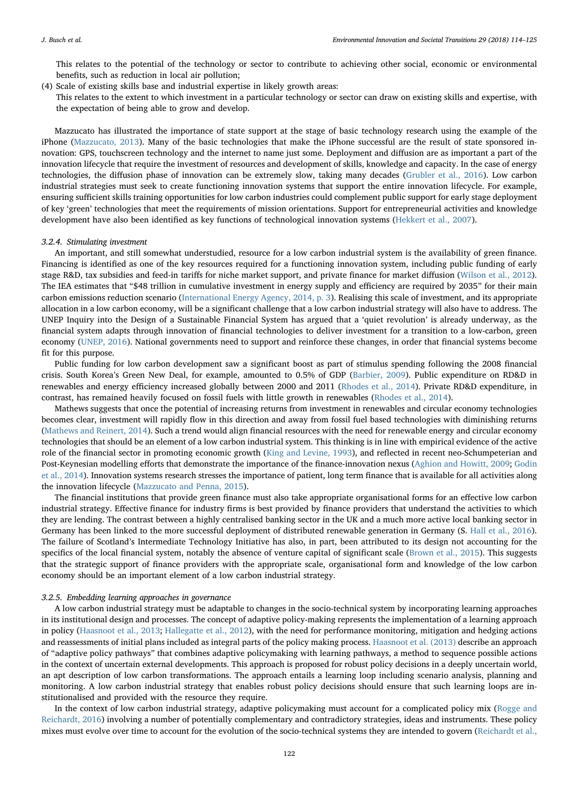This relates to the potential of the technology or sector to contribute to achieving other social, economic or environmental benefits, such as reduction in local air pollution;

(4) Scale of existing skills base and industrial expertise in likely growth areas:

This relates to the extent to which investment in a particular technology or sector can draw on existing skills and expertise, with the expectation of being able to grow and develop.

Mazzucato has illustrated the importance of state support at the stage of basic technology research using the example of the iPhone ([Mazzucato, 2013\)](#page-12-40). Many of the basic technologies that make the iPhone successful are the result of state sponsored innovation: GPS, touchscreen technology and the internet to name just some. Deployment and diffusion are as important a part of the innovation lifecycle that require the investment of resources and development of skills, knowledge and capacity. In the case of energy technologies, the diffusion phase of innovation can be extremely slow, taking many decades [\(Grubler et al., 2016](#page-11-44)). Low carbon industrial strategies must seek to create functioning innovation systems that support the entire innovation lifecycle. For example, ensuring sufficient skills training opportunities for low carbon industries could complement public support for early stage deployment of key 'green' technologies that meet the requirements of mission orientations. Support for entrepreneurial activities and knowledge development have also been identified as key functions of technological innovation systems [\(Hekkert et al., 2007\)](#page-11-45).

#### 3.2.4. Stimulating investment

An important, and still somewhat understudied, resource for a low carbon industrial system is the availability of green finance. Financing is identified as one of the key resources required for a functioning innovation system, including public funding of early stage R&D, tax subsidies and feed-in tariffs for niche market support, and private finance for market diffusion [\(Wilson et al., 2012\)](#page-12-20). The IEA estimates that "\$48 trillion in cumulative investment in energy supply and efficiency are required by 2035" for their main carbon emissions reduction scenario [\(International Energy Agency, 2014, p. 3](#page-11-46)). Realising this scale of investment, and its appropriate allocation in a low carbon economy, will be a significant challenge that a low carbon industrial strategy will also have to address. The UNEP Inquiry into the Design of a Sustainable Financial System has argued that a 'quiet revolution' is already underway, as the financial system adapts through innovation of financial technologies to deliver investment for a transition to a low-carbon, green economy [\(UNEP, 2016](#page-12-49)). National governments need to support and reinforce these changes, in order that financial systems become fit for this purpose.

Public funding for low carbon development saw a significant boost as part of stimulus spending following the 2008 financial crisis. South Korea's Green New Deal, for example, amounted to 0.5% of GDP ([Barbier, 2009](#page-11-47)). Public expenditure on RD&D in renewables and energy efficiency increased globally between 2000 and 2011 [\(Rhodes et al., 2014\)](#page-12-50). Private RD&D expenditure, in contrast, has remained heavily focused on fossil fuels with little growth in renewables [\(Rhodes et al., 2014](#page-12-50)).

Mathews suggests that once the potential of increasing returns from investment in renewables and circular economy technologies becomes clear, investment will rapidly flow in this direction and away from fossil fuel based technologies with diminishing returns (Mathews [and Reinert, 2014\)](#page-12-51). Such a trend would align financial resources with the need for renewable energy and circular economy technologies that should be an element of a low carbon industrial system. This thinking is in line with empirical evidence of the active role of the financial sector in promoting economic growth ([King and Levine, 1993](#page-11-48)), and reflected in recent neo-Schumpeterian and Post-Keynesian modelling efforts that demonstrate the importance of the finance-innovation nexus [\(Aghion and Howitt, 2009;](#page-10-2) [Godin](#page-11-49) [et al., 2014](#page-11-49)). Innovation systems research stresses the importance of patient, long term finance that is available for all activities along the innovation lifecycle [\(Mazzucato and Penna, 2015\)](#page-12-22).

The financial institutions that provide green finance must also take appropriate organisational forms for an effective low carbon industrial strategy. Effective finance for industry firms is best provided by finance providers that understand the activities to which they are lending. The contrast between a highly centralised banking sector in the UK and a much more active local banking sector in Germany has been linked to the more successful deployment of distributed renewable generation in Germany (S. [Hall et al., 2016\)](#page-11-50). The failure of Scotland's Intermediate Technology Initiative has also, in part, been attributed to its design not accounting for the specifics of the local financial system, notably the absence of venture capital of significant scale ([Brown et al., 2015\)](#page-11-38). This suggests that the strategic support of finance providers with the appropriate scale, organisational form and knowledge of the low carbon economy should be an important element of a low carbon industrial strategy.

#### 3.2.5. Embedding learning approaches in governance

A low carbon industrial strategy must be adaptable to changes in the socio-technical system by incorporating learning approaches in its institutional design and processes. The concept of adaptive policy-making represents the implementation of a learning approach in policy [\(Haasnoot et al., 2013;](#page-11-51) [Hallegatte et al., 2012\)](#page-11-52), with the need for performance monitoring, mitigation and hedging actions and reassessments of initial plans included as integral parts of the policy making process. [Haasnoot et al. \(2013\)](#page-11-51) describe an approach of "adaptive policy pathways" that combines adaptive policymaking with learning pathways, a method to sequence possible actions in the context of uncertain external developments. This approach is proposed for robust policy decisions in a deeply uncertain world, an apt description of low carbon transformations. The approach entails a learning loop including scenario analysis, planning and monitoring. A low carbon industrial strategy that enables robust policy decisions should ensure that such learning loops are institutionalised and provided with the resource they require.

In the context of low carbon industrial strategy, adaptive policymaking must account for a complicated policy mix ([Rogge and](#page-12-52) [Reichardt, 2016](#page-12-52)) involving a number of potentially complementary and contradictory strategies, ideas and instruments. These policy mixes must evolve over time to account for the evolution of the socio-technical systems they are intended to govern [\(Reichardt et al.,](#page-12-53)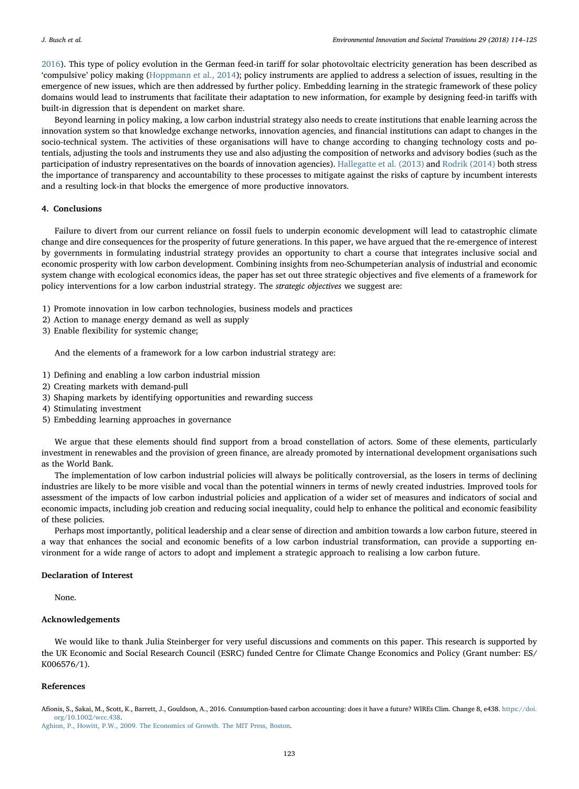[2016\)](#page-12-53). This type of policy evolution in the German feed-in tariff for solar photovoltaic electricity generation has been described as 'compulsive' policy making ([Hoppmann et al., 2014](#page-11-53)); policy instruments are applied to address a selection of issues, resulting in the emergence of new issues, which are then addressed by further policy. Embedding learning in the strategic framework of these policy domains would lead to instruments that facilitate their adaptation to new information, for example by designing feed-in tariffs with built-in digression that is dependent on market share.

Beyond learning in policy making, a low carbon industrial strategy also needs to create institutions that enable learning across the innovation system so that knowledge exchange networks, innovation agencies, and financial institutions can adapt to changes in the socio-technical system. The activities of these organisations will have to change according to changing technology costs and potentials, adjusting the tools and instruments they use and also adjusting the composition of networks and advisory bodies (such as the participation of industry representatives on the boards of innovation agencies). [Hallegatte et al. \(2013\)](#page-11-37) and [Rodrik \(2014\)](#page-12-9) both stress the importance of transparency and accountability to these processes to mitigate against the risks of capture by incumbent interests and a resulting lock-in that blocks the emergence of more productive innovators.

#### <span id="page-10-0"></span>4. Conclusions

Failure to divert from our current reliance on fossil fuels to underpin economic development will lead to catastrophic climate change and dire consequences for the prosperity of future generations. In this paper, we have argued that the re-emergence of interest by governments in formulating industrial strategy provides an opportunity to chart a course that integrates inclusive social and economic prosperity with low carbon development. Combining insights from neo-Schumpeterian analysis of industrial and economic system change with ecological economics ideas, the paper has set out three strategic objectives and five elements of a framework for policy interventions for a low carbon industrial strategy. The strategic objectives we suggest are:

- 1) Promote innovation in low carbon technologies, business models and practices
- 2) Action to manage energy demand as well as supply
- 3) Enable flexibility for systemic change;

And the elements of a framework for a low carbon industrial strategy are:

- 1) Defining and enabling a low carbon industrial mission
- 2) Creating markets with demand-pull
- 3) Shaping markets by identifying opportunities and rewarding success
- 4) Stimulating investment
- 5) Embedding learning approaches in governance

We argue that these elements should find support from a broad constellation of actors. Some of these elements, particularly investment in renewables and the provision of green finance, are already promoted by international development organisations such as the World Bank.

The implementation of low carbon industrial policies will always be politically controversial, as the losers in terms of declining industries are likely to be more visible and vocal than the potential winners in terms of newly created industries. Improved tools for assessment of the impacts of low carbon industrial policies and application of a wider set of measures and indicators of social and economic impacts, including job creation and reducing social inequality, could help to enhance the political and economic feasibility of these policies.

Perhaps most importantly, political leadership and a clear sense of direction and ambition towards a low carbon future, steered in a way that enhances the social and economic benefits of a low carbon industrial transformation, can provide a supporting environment for a wide range of actors to adopt and implement a strategic approach to realising a low carbon future.

#### Declaration of Interest

None.

#### Acknowledgements

We would like to thank Julia Steinberger for very useful discussions and comments on this paper. This research is supported by the UK Economic and Social Research Council (ESRC) funded Centre for Climate Change Economics and Policy (Grant number: ES/ K006576/1).

#### References

<span id="page-10-1"></span>Afionis, S., Sakai, M., Scott, K., Barrett, J., Gouldson, A., 2016. Consumption-based carbon accounting: does it have a future? WIREs Clim. Change 8, e438. [https://doi.](https://doi.org/10.1002/wcc.438) [org/10.1002/wcc.438](https://doi.org/10.1002/wcc.438).

<span id="page-10-2"></span>[Aghion, P., Howitt, P.W., 2009. The Economics of Growth. The MIT Press, Boston.](http://refhub.elsevier.com/S2210-4224(17)30249-6/sbref0010)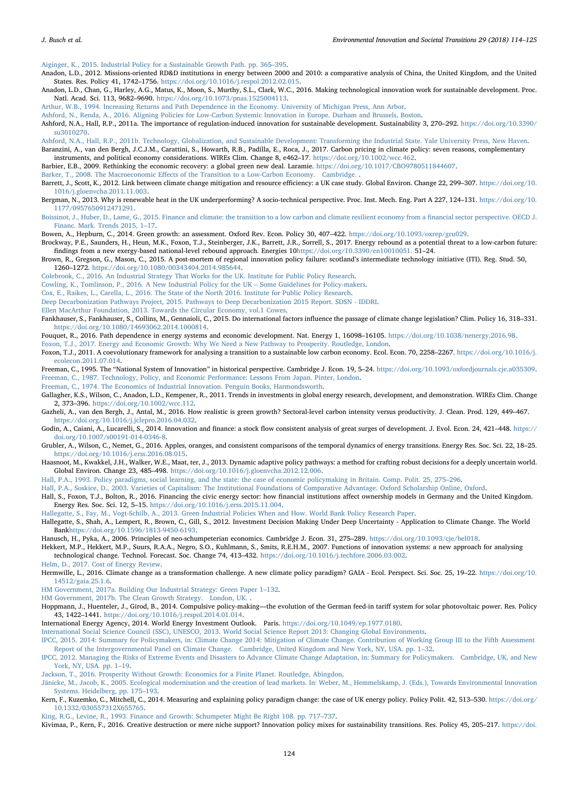<span id="page-11-6"></span>[Aiginger, K., 2015. Industrial Policy for a Sustainable Growth Path. pp. 365](http://refhub.elsevier.com/S2210-4224(17)30249-6/sbref0015)–395.

- <span id="page-11-34"></span>Anadon, L.D., 2012. Missions-oriented RD&D institutions in energy between 2000 and 2010: a comparative analysis of China, the United Kingdom, and the United States. Res. Policy 41, 1742–1756. [https://doi.org/10.1016/j.respol.2012.02.015.](https://doi.org/10.1016/j.respol.2012.02.015)
- <span id="page-11-32"></span>Anadon, L.D., Chan, G., Harley, A.G., Matus, K., Moon, S., Murthy, S.L., Clark, W.C., 2016. Making technological innovation work for sustainable development. Proc. Natl. Acad. Sci. 113, 9682–9690. [https://doi.org/10.1073/pnas.1525004113.](https://doi.org/10.1073/pnas.1525004113)
- <span id="page-11-27"></span>[Arthur, W.B., 1994. Increasing Returns and Path Dependence in the Economy. University of Michigan Press, Ann Arbor](http://refhub.elsevier.com/S2210-4224(17)30249-6/sbref0030).

<span id="page-11-7"></span>[Ashford, N., Renda, A., 2016. Aligning Policies for Low-Carbon Systemic Innovation in Europe. Durham and Brussels, Boston](http://refhub.elsevier.com/S2210-4224(17)30249-6/sbref0035).

- <span id="page-11-28"></span>Ashford, N.A., Hall, R.P., 2011a. The importance of regulation-induced innovation for sustainable development. Sustainability 3, 270–292. [https://doi.org/10.3390/](https://doi.org/10.3390/su3010270) [su3010270](https://doi.org/10.3390/su3010270).
- <span id="page-11-42"></span><span id="page-11-23"></span>[Ashford, N.A., Hall, R.P., 2011b. Technology, Globalization, and Sustainable Development: Transforming the Industrial State. Yale University Press, New Haven](http://refhub.elsevier.com/S2210-4224(17)30249-6/sbref0045). Baranzini, A., van den Bergh, J.C.J.M., Carattini, S., Howarth, R.B., Padilla, E., Roca, J., 2017. Carbon pricing in climate policy: seven reasons, complementary
- instruments, and political economy considerations. WIREs Clim. Change 8, e462–17. [https://doi.org/10.1002/wcc.462.](https://doi.org/10.1002/wcc.462)

<span id="page-11-47"></span>Barbier, E.B., 2009. Rethinking the economic recovery: a global green new deal. Laramie. [https://doi.org/10.1017/CBO9780511844607.](https://doi.org/10.1017/CBO9780511844607)

- <span id="page-11-30"></span>Barker, T., 2008. The Macroeconomic Eff[ects of the Transition to a Low-Carbon Economy. Cambridge.](http://refhub.elsevier.com/S2210-4224(17)30249-6/sbref0060)
- <span id="page-11-26"></span>Barrett, J., Scott, K., 2012. Link between climate change mitigation and resource efficiency: a UK case study. Global Environ. Change 22, 299–307. [https://doi.org/10.](https://doi.org/10.1016/j.gloenvcha.2011.11.003) [1016/j.gloenvcha.2011.11.003](https://doi.org/10.1016/j.gloenvcha.2011.11.003).
- <span id="page-11-35"></span>Bergman, N., 2013. Why is renewable heat in the UK underperforming? A socio-technical perspective. Proc. Inst. Mech. Eng. Part A 227, 124-131. [https://doi.org/10.](https://doi.org/10.1177/0957650912471291) [1177/0957650912471291.](https://doi.org/10.1177/0957650912471291)
- <span id="page-11-36"></span>[Boissinot, J., Huber, D., Lame, G., 2015. Finance and climate: the transition to a low carbon and climate resilient economy from a](http://refhub.elsevier.com/S2210-4224(17)30249-6/sbref0075) financial sector perspective. OECD J. [Financ. Mark. Trends 2015, 1](http://refhub.elsevier.com/S2210-4224(17)30249-6/sbref0075)–17.

<span id="page-11-9"></span>Bowen, A., Hepburn, C., 2014. Green growth: an assessment. Oxford Rev. Econ. Policy 30, 407–422. <https://doi.org/10.1093/oxrep/gru029>.

- <span id="page-11-31"></span>Brockway, P.E., Saunders, H., Heun, M.K., Foxon, T.J., Steinberger, J.K., Barrett, J.R., Sorrell, S., 2017. Energy rebound as a potential threat to a low-carbon future: findings from a new exergy-based national-level rebound approach. Energies 1[0https://doi.org/10.3390/en10010051.](https://doi.org/10.3390/en10010051) 51–24.
- <span id="page-11-38"></span>Brown, R., Gregson, G., Mason, C., 2015. A post-mortem of regional innovation policy failure: scotland's intermediate technology initiative (ITI). Reg. Stud. 50, 1260–1272. [https://doi.org/10.1080/00343404.2014.985644.](https://doi.org/10.1080/00343404.2014.985644)
- <span id="page-11-15"></span>[Colebrook, C., 2016. An Industrial Strategy That Works for the UK. Institute for Public Policy Research](http://refhub.elsevier.com/S2210-4224(17)30249-6/sbref0095).
- <span id="page-11-13"></span>[Cowling, K., Tomlinson, P., 2016. A New Industrial Policy for the UK](http://refhub.elsevier.com/S2210-4224(17)30249-6/sbref0100) – Some Guidelines for Policy-makers.

<span id="page-11-39"></span>[Cox, E., Raikes, L., Carella, L., 2016. The State of the North 2016. Institute for Public Policy Research](http://refhub.elsevier.com/S2210-4224(17)30249-6/sbref0105).

- <span id="page-11-2"></span>[Deep Decarbonization Pathways Project, 2015. Pathways to Deep Decarbonization 2015 Report. SDSN - IDDRI.](http://refhub.elsevier.com/S2210-4224(17)30249-6/sbref0110)
- <span id="page-11-25"></span>[Ellen MacArthur Foundation, 2013. Towards the Circular Economy, vol.1 Cowes.](http://refhub.elsevier.com/S2210-4224(17)30249-6/sbref0115)
- <span id="page-11-33"></span>Fankhauser, S., Fankhauser, S., Collins, M., Gennaioli, C., 2015. Do international factors influence the passage of climate change legislation? Clim. Policy 16, 318–331. [https://doi.org/10.1080/14693062.2014.1000814.](https://doi.org/10.1080/14693062.2014.1000814)
- <span id="page-11-18"></span>Fouquet, R., 2016. Path dependence in energy systems and economic development. Nat. Energy 1, 16098–16105. <https://doi.org/10.1038/nenergy.2016.98>.

<span id="page-11-16"></span>[Foxon, T.J., 2017. Energy and Economic Growth: Why We Need a New Pathway to Prosperity. Routledge, London.](http://refhub.elsevier.com/S2210-4224(17)30249-6/sbref0130)

<span id="page-11-19"></span>Foxon, T.J., 2011. A coevolutionary framework for analysing a transition to a sustainable low carbon economy. Ecol. Econ. 70, 2258–2267. [https://doi.org/10.1016/j.](https://doi.org/10.1016/j.ecolecon.2011.07.014) [ecolecon.2011.07.014](https://doi.org/10.1016/j.ecolecon.2011.07.014).

- <span id="page-11-22"></span><span id="page-11-21"></span>Freeman, C., 1995. The "National System of Innovation" in historical perspective. Cambridge J. Econ. 19, 5–24. <https://doi.org/10.1093/oxfordjournals.cje.a035309>. [Freeman, C., 1987. Technology, Policy, and Economic Performance: Lessons From Japan. Pinter, London](http://refhub.elsevier.com/S2210-4224(17)30249-6/sbref0145).
- <span id="page-11-8"></span>[Freeman, C., 1974. The Economics of Industrial Innovation. Penguin Books, Harmondsworth](http://refhub.elsevier.com/S2210-4224(17)30249-6/sbref0150).
- <span id="page-11-20"></span>Gallagher, K.S., Wilson, C., Anadon, L.D., Kempener, R., 2011. Trends in investments in global energy research, development, and demonstration. WIREs Clim. Change 2, 373–396. <https://doi.org/10.1002/wcc.112>.
- <span id="page-11-29"></span>Gazheli, A., van den Bergh, J., Antal, M., 2016. How realistic is green growth? Sectoral-level carbon intensity versus productivity. J. Clean. Prod. 129, 449–467. <https://doi.org/10.1016/j.jclepro.2016.04.032>.
- <span id="page-11-49"></span>Godin, A., Caiani, A., Lucarelli, S., 2014. Innovation and finance: a stock flow consistent analysis of great surges of development. J. Evol. Econ. 24, 421–448. [https://](https://doi.org/10.1007/s00191-014-0346-8) [doi.org/10.1007/s00191-014-0346-8.](https://doi.org/10.1007/s00191-014-0346-8)
- <span id="page-11-44"></span>Grubler, A., Wilson, C., Nemet, G., 2016. Apples, oranges, and consistent comparisons of the temporal dynamics of energy transitions. Energy Res. Soc. Sci. 22, 18–25. [https://doi.org/10.1016/j.erss.2016.08.015.](https://doi.org/10.1016/j.erss.2016.08.015)
- <span id="page-11-51"></span>Haasnoot, M., Kwakkel, J.H., Walker, W.E., Maat, ter, J., 2013. Dynamic adaptive policy pathways: a method for crafting robust decisions for a deeply uncertain world. Global Environ. Change 23, 485–498. <https://doi.org/10.1016/j.gloenvcha.2012.12.006>.
- <span id="page-11-11"></span>[Hall, P.A., 1993. Policy paradigms, social learning, and the state: the case of economic policymaking in Britain. Comp. Polit. 25, 275](http://refhub.elsevier.com/S2210-4224(17)30249-6/sbref0180)–296.
- <span id="page-11-14"></span>[Hall, P.A., Soskice, D., 2003. Varieties of Capitalism: The Institutional Foundations of Comparative Advantage. Oxford Scholarship Online, Oxford](http://refhub.elsevier.com/S2210-4224(17)30249-6/sbref0185).
- <span id="page-11-50"></span>Hall, S., Foxon, T.J., Bolton, R., 2016. Financing the civic energy sector: how financial institutions affect ownership models in Germany and the United Kingdom. Energy Res. Soc. Sci. 12, 5–15. [https://doi.org/10.1016/j.erss.2015.11.004.](https://doi.org/10.1016/j.erss.2015.11.004)

<span id="page-11-37"></span>[Hallegatte, S., Fay, M., Vogt-Schilb, A., 2013. Green Industrial Policies When and How. World Bank Policy Research Paper.](http://refhub.elsevier.com/S2210-4224(17)30249-6/sbref0195)

<span id="page-11-52"></span>Hallegatte, S., Shah, A., Lempert, R., Brown, C., Gill, S., 2012. Investment Decision Making Under Deep Uncertainty - Application to Climate Change. The World Ban[khttps://doi.org/10.1596/1813-9450-6193](https://doi.org/10.1596/1813-9450-6193).

<span id="page-11-17"></span>Hanusch, H., Pyka, A., 2006. Principles of neo-schumpeterian economics. Cambridge J. Econ. 31, 275–289. [https://doi.org/10.1093/cje/bel018.](https://doi.org/10.1093/cje/bel018)

- <span id="page-11-45"></span>Hekkert, M.P., Hekkert, M.P., Suurs, R.A.A., Negro, S.O., Kuhlmann, S., Smits, R.E.H.M., 2007. Functions of innovation systems: a new approach for analysing technological change. Technol. Forecast. Soc. Change 74, 413–432. <https://doi.org/10.1016/j.techfore.2006.03.002>.
- <span id="page-11-43"></span><span id="page-11-3"></span>Helm, [D., 2017. Cost of Energy Review.](http://refhub.elsevier.com/S2210-4224(17)30249-6/sbref0215) Hermwille, L., 2016. Climate change as a transformation challenge. A new climate policy paradigm? GAIA - Ecol. Perspect. Sci. Soc. 25, 19–22. [https://doi.org/10.](https://doi.org/10.14512/gaia.25.1.6) [14512/gaia.25.1.6](https://doi.org/10.14512/gaia.25.1.6).
- <span id="page-11-0"></span>[HM Government, 2017a. Building Our Industrial Strategy: Green Paper 1](http://refhub.elsevier.com/S2210-4224(17)30249-6/sbref0225)–132.
- <span id="page-11-1"></span>[HM Government, 2017b. The Clean Growth Strategy. London, UK.](http://refhub.elsevier.com/S2210-4224(17)30249-6/sbref0230) .
- <span id="page-11-53"></span>Hoppmann, J., Huenteler, J., Girod, B., 2014. Compulsive policy-making—the evolution of the German feed-in tariff system for solar photovoltaic power. Res. Policy 43, 1422–1441. <https://doi.org/10.1016/j.respol.2014.01.014>.
- <span id="page-11-46"></span>International Energy Agency, 2014. World Energy Investment Outlook. Paris. [https://doi.org/10.1049/ep.1977.0180.](https://doi.org/10.1049/ep.1977.0180)
- <span id="page-11-4"></span>[International Social Science Council \(SSC\), UNESCO, 2013. World Social Science Report 2013: Changing Global Environments](http://refhub.elsevier.com/S2210-4224(17)30249-6/sbref0245).
- <span id="page-11-24"></span>[IPCC, 2015. 2014: Summary for Policymakers, in: Climate Change 2014: Mitigation of Climate Change. Contribution of Working Group III to the Fifth Assessment](http://refhub.elsevier.com/S2210-4224(17)30249-6/sbref0250) [Report of the Intergovernmental Panel on Climate Change. Cambridge, United Kingdom and New York, NY, USA. pp. 1](http://refhub.elsevier.com/S2210-4224(17)30249-6/sbref0250)–32.
- <span id="page-11-5"></span>[IPCC, 2012. Managing the Risks of Extreme Events and Disasters to Advance Climate Change Adaptation, in: Summary for Policymakers. Cambridge, UK, and New](http://refhub.elsevier.com/S2210-4224(17)30249-6/sbref0255) [York, NY, USA. pp. 1](http://refhub.elsevier.com/S2210-4224(17)30249-6/sbref0255)–19.
- <span id="page-11-10"></span>[Jackson, T., 2016. Prosperity Without Growth: Economics for a Finite Planet. Routledge, Abingdon.](http://refhub.elsevier.com/S2210-4224(17)30249-6/sbref0260)
- <span id="page-11-41"></span>[Jänicke, M., Jacob, K., 2005. Ecological modernisation and the creation of lead markets. In: Weber, M., Hemmelskamp, J. \(Eds.\), Towards Environmental Innovation](http://refhub.elsevier.com/S2210-4224(17)30249-6/sbref0265) [Systems. Heidelberg, pp. 175](http://refhub.elsevier.com/S2210-4224(17)30249-6/sbref0265)–193.
- <span id="page-11-12"></span>Kern, F., Kuzemko, C., Mitchell, C., 2014. Measuring and explaining policy paradigm change: the case of UK energy policy. Policy Polit. 42, 513–530. [https://doi.org/](https://doi.org/10.1332/030557312X655765) [10.1332/030557312X655765](https://doi.org/10.1332/030557312X655765).
- <span id="page-11-48"></span>[King, R.G., Levine, R., 1993. Finance and Growth: Schumpeter Might Be Right 108. pp. 717](http://refhub.elsevier.com/S2210-4224(17)30249-6/sbref0275)–737.

<span id="page-11-40"></span>Kivimaa, P., Kern, F., 2016. Creative destruction or mere niche support? Innovation policy mixes for sustainability transitions. Res. Policy 45, 205–217. [https://doi.](https://doi.org/10.1016/j.respol.2015.09.008)